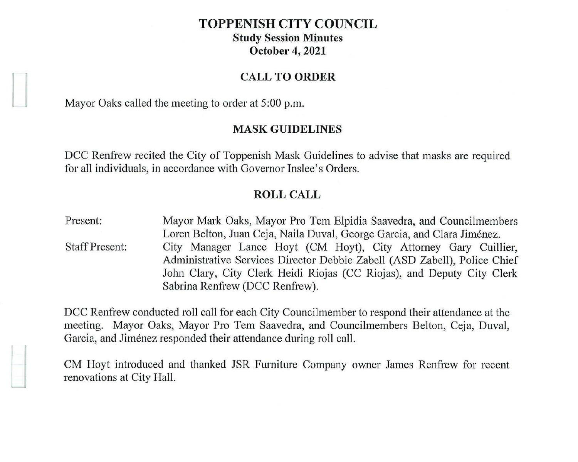# **TOPPENISH CITY COUNCIL Study Session Minutes October 4, 2021**

### **CALL TO ORDER**

Mayor Oaks called the meeting to order at 5:00 p.m.

**l** 

# **MASK GUIDELINES**

DCC Renfrew recited the City of Toppenish Mask Guidelines to advise that masks are required for all individuals, in accordance with Governor Inslee's Orders.

### **ROLL CALL**

Present: Staff Present: Mayor Mark Oaks, Mayor Pro Tern Elpidia Saavedra, and Councilmembers Loren Belton, Juan Ceja, Naila Duval, George Garcia, and Clara Jimenez. City Manager Lance Hoyt (CM Hoyt), City Attorney Gary Cuillier, Administrative Services Director Debbie Zabell (ASD Zabell), Police Chief John Clary, City Clerk Heidi Riojas (CC Riojas), and Deputy City Clerk Sabrina Renfrew (DCC Renfrew).

DCC Renfrew conducted roll call for each City Councilmember to respond their attendance at the meeting. Mayor Oaks, Mayor Pro Tern Saavedra, and Councilmembers Belton, Ceja, Duval, Garcia, and Jiménez responded their attendance during roll call.

CM Hoyt introduced and thanked JSR Furniture Company owner James Renfrew for recent renovations at City Hall.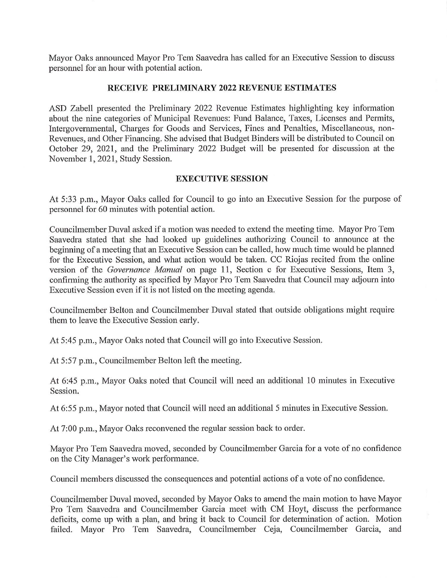Mayor Oaks announced Mayor Pro Tem Saavedra has called for an Executive Session to discuss personnel for an hour with potential action.

# **RECEIVE PRELIMINARY 2022 REVENUE ESTIMATES**

ASD Zabell presented the Preliminary 2022 Revenue Estimates highlighting key information about the nine categories of Municipal Revenues: Fund Balance, Taxes, Licenses and Permits, Intergovernmental, Charges for Goods and Services, Fines and Penalties, Miscellaneous, non-Revenues, and Other Financing. She advised that Budget Binders will be distributed to Council on October 29, 2021, and the Preliminary 2022 Budget will be presented for discussion at the November 1, 2021, Study Session.

### **EXECUTIVE SESSION**

At 5:33 p.m., Mayor Oaks called for Council to go into an Executive Session for the purpose of personnel for 60 minutes with potential action.

Councilmember Duval asked if a motion was needed to extend the meeting time. Mayor Pro Tem Saavedra stated that she had looked up guidelines authorizing Council to announce at the beginning of a meeting that an Executive Session can be called, how much time would be planned for the Executive Session, and what action would be taken. CC Riojas recited from the online version of the *Governance Manual* on page 11, Section c for Executive Sessions, Item 3, confirming the authority as specified by Mayor Pro Tem Saavedra that Council may adjourn into Executive Session even if it is not listed on the meeting agenda.

Councilmember Belton and Councilmember Duval stated that outside obligations might require them to leave the Executive Session early.

At 5:45 p.m., Mayor Oaks noted that Council will go into Executive Session.

At 5:57 p.m., Councilmember Belton left the meeting.

At 6:45 p.m., Mayor Oaks noted that Council will need an additional 10 minutes in Executive Session.

At 6:55 p.m., Mayor noted that Council will need an additional 5 minutes in Executive Session.

At 7:00 p.m., Mayor Oaks reconvened the regular session back to order.

Mayor Pro Tem Saavedra moved, seconded by Councilmember Garcia for a vote of no confidence on the City Manager's work performance.

Council members discussed the consequences and potential actions of a vote of no confidence.

Councilmember Duval moved, seconded by Mayor Oaks to amend the main motion to have Mayor Pro Tem Saavedra and Councilmember Garcia meet with CM Hoyt, discuss the performance deficits, come up with a plan, and bring it back to Council for determination of action. Motion failed. Mayor Pro Tem Saavedra, Councilmember Ceja, Councilmember Garcia, and